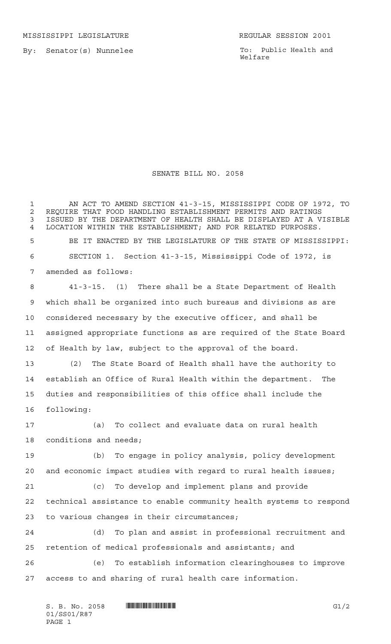MISSISSIPPI LEGISLATURE **REGULAR SESSION 2001** 

By: Senator(s) Nunnelee

To: Public Health and Welfare

## SENATE BILL NO. 2058

 AN ACT TO AMEND SECTION 41-3-15, MISSISSIPPI CODE OF 1972, TO 2 REQUIRE THAT FOOD HANDLING ESTABLISHMENT PERMITS AND RATINGS<br>3 ISSUED BY THE DEPARTMENT OF HEALTH SHALL BE DISPLAYED AT A V ISSUED BY THE DEPARTMENT OF HEALTH SHALL BE DISPLAYED AT A VISIBLE LOCATION WITHIN THE ESTABLISHMENT; AND FOR RELATED PURPOSES. BE IT ENACTED BY THE LEGISLATURE OF THE STATE OF MISSISSIPPI: SECTION 1. Section 41-3-15, Mississippi Code of 1972, is amended as follows: 41-3-15. (1) There shall be a State Department of Health which shall be organized into such bureaus and divisions as are considered necessary by the executive officer, and shall be assigned appropriate functions as are required of the State Board of Health by law, subject to the approval of the board. (2) The State Board of Health shall have the authority to establish an Office of Rural Health within the department. The duties and responsibilities of this office shall include the following: (a) To collect and evaluate data on rural health conditions and needs; (b) To engage in policy analysis, policy development and economic impact studies with regard to rural health issues; (c) To develop and implement plans and provide technical assistance to enable community health systems to respond to various changes in their circumstances; (d) To plan and assist in professional recruitment and retention of medical professionals and assistants; and (e) To establish information clearinghouses to improve access to and sharing of rural health care information.

 $S. B. No. 2058$  **INNIFICALLY INSTEAD IN THE SECOND SET OF A SECOND SET OF A SECOND SECOND SECOND SECOND SECOND SECOND SECOND SECOND SECOND SECOND SECOND SECOND SECOND SECOND SECOND SECOND SECOND SECOND SECOND SECOND SECON** 01/SS01/R87 PAGE 1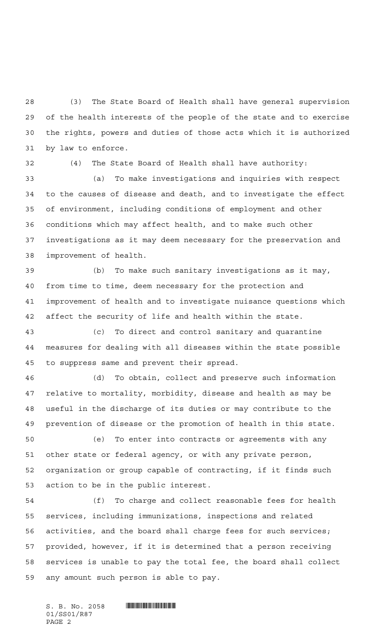(3) The State Board of Health shall have general supervision of the health interests of the people of the state and to exercise the rights, powers and duties of those acts which it is authorized by law to enforce.

(4) The State Board of Health shall have authority:

 (a) To make investigations and inquiries with respect to the causes of disease and death, and to investigate the effect of environment, including conditions of employment and other conditions which may affect health, and to make such other investigations as it may deem necessary for the preservation and improvement of health.

 (b) To make such sanitary investigations as it may, from time to time, deem necessary for the protection and improvement of health and to investigate nuisance questions which affect the security of life and health within the state.

 (c) To direct and control sanitary and quarantine measures for dealing with all diseases within the state possible to suppress same and prevent their spread.

 (d) To obtain, collect and preserve such information relative to mortality, morbidity, disease and health as may be useful in the discharge of its duties or may contribute to the prevention of disease or the promotion of health in this state.

 (e) To enter into contracts or agreements with any other state or federal agency, or with any private person, organization or group capable of contracting, if it finds such action to be in the public interest.

 (f) To charge and collect reasonable fees for health services, including immunizations, inspections and related activities, and the board shall charge fees for such services; provided, however, if it is determined that a person receiving services is unable to pay the total fee, the board shall collect any amount such person is able to pay.

 $S. B. No. 2058$  . And the set of the set of  $S. B. N_{\odot}$  ,  $2058$ 01/SS01/R87 PAGE 2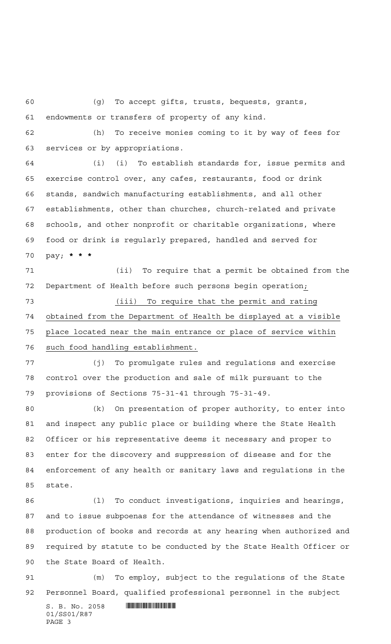(g) To accept gifts, trusts, bequests, grants,

endowments or transfers of property of any kind.

 (h) To receive monies coming to it by way of fees for services or by appropriations.

 (i) (i) To establish standards for, issue permits and exercise control over, any cafes, restaurants, food or drink stands, sandwich manufacturing establishments, and all other establishments, other than churches, church-related and private schools, and other nonprofit or charitable organizations, where food or drink is regularly prepared, handled and served for pay; **\*\*\***

 (ii) To require that a permit be obtained from the Department of Health before such persons begin operation;

 (iii) To require that the permit and rating obtained from the Department of Health be displayed at a visible place located near the main entrance or place of service within such food handling establishment.

 (j) To promulgate rules and regulations and exercise control over the production and sale of milk pursuant to the provisions of Sections 75-31-41 through 75-31-49.

 (k) On presentation of proper authority, to enter into and inspect any public place or building where the State Health Officer or his representative deems it necessary and proper to enter for the discovery and suppression of disease and for the enforcement of any health or sanitary laws and regulations in the state.

 (l) To conduct investigations, inquiries and hearings, and to issue subpoenas for the attendance of witnesses and the production of books and records at any hearing when authorized and required by statute to be conducted by the State Health Officer or the State Board of Health.

 (m) To employ, subject to the regulations of the State Personnel Board, qualified professional personnel in the subject

 $S. B. No. 2058$  . And the set of the set of  $S. B. N_{\odot}$  ,  $2058$ 01/SS01/R87 PAGE 3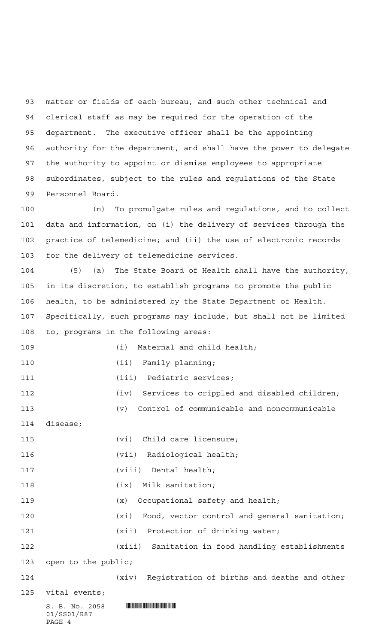matter or fields of each bureau, and such other technical and clerical staff as may be required for the operation of the department. The executive officer shall be the appointing authority for the department, and shall have the power to delegate the authority to appoint or dismiss employees to appropriate subordinates, subject to the rules and regulations of the State Personnel Board.

 (n) To promulgate rules and regulations, and to collect data and information, on (i) the delivery of services through the practice of telemedicine; and (ii) the use of electronic records for the delivery of telemedicine services.

 (5) (a) The State Board of Health shall have the authority, in its discretion, to establish programs to promote the public health, to be administered by the State Department of Health. Specifically, such programs may include, but shall not be limited to, programs in the following areas:

 $S. B. No. 2058$  . The set of the set of  $S. B. N_{\odot}$  ,  $2058$ 01/SS01/R87 (i) Maternal and child health; 110 (ii) Family planning; 111 (iii) Pediatric services; (iv) Services to crippled and disabled children; (v) Control of communicable and noncommunicable disease; 115 (vi) Child care licensure; (vii) Radiological health; (viii) Dental health; 118 (ix) Milk sanitation; (x) Occupational safety and health; (xi) Food, vector control and general sanitation; 121 (xii) Protection of drinking water; (xiii) Sanitation in food handling establishments open to the public; (xiv) Registration of births and deaths and other vital events;

PAGE 4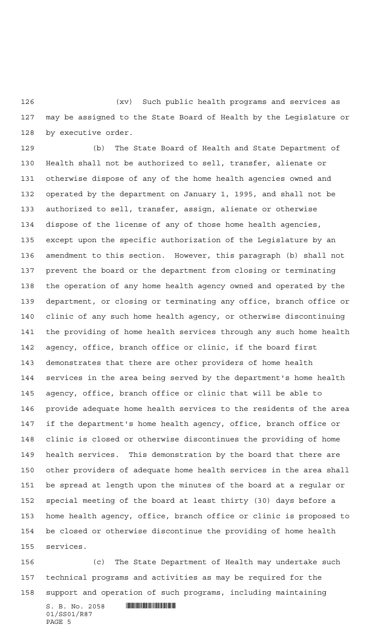(xv) Such public health programs and services as may be assigned to the State Board of Health by the Legislature or by executive order.

 (b) The State Board of Health and State Department of Health shall not be authorized to sell, transfer, alienate or otherwise dispose of any of the home health agencies owned and operated by the department on January 1, 1995, and shall not be authorized to sell, transfer, assign, alienate or otherwise dispose of the license of any of those home health agencies, except upon the specific authorization of the Legislature by an amendment to this section. However, this paragraph (b) shall not prevent the board or the department from closing or terminating the operation of any home health agency owned and operated by the department, or closing or terminating any office, branch office or clinic of any such home health agency, or otherwise discontinuing the providing of home health services through any such home health agency, office, branch office or clinic, if the board first demonstrates that there are other providers of home health services in the area being served by the department's home health agency, office, branch office or clinic that will be able to provide adequate home health services to the residents of the area if the department's home health agency, office, branch office or clinic is closed or otherwise discontinues the providing of home health services. This demonstration by the board that there are other providers of adequate home health services in the area shall be spread at length upon the minutes of the board at a regular or special meeting of the board at least thirty (30) days before a home health agency, office, branch office or clinic is proposed to be closed or otherwise discontinue the providing of home health services.

 (c) The State Department of Health may undertake such technical programs and activities as may be required for the support and operation of such programs, including maintaining

 $S. B. No. 2058$  . And the set of the set of  $S. B. N_{\odot}$  ,  $2058$ 01/SS01/R87 PAGE 5